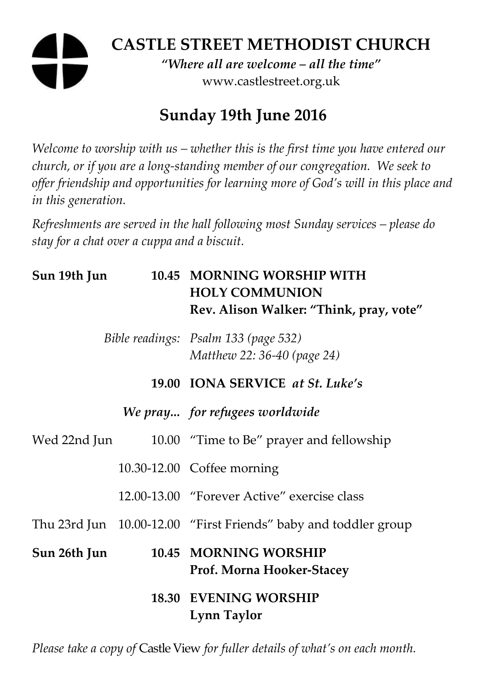# **CASTLE STREET METHODIST CHURCH**  *"Where all are welcome – all the time"*  www.castlestreet.org.uk

# **Sunday 19th June 2016**

*Welcome to worship with us – whether this is the first time you have entered our church, or if you are a long-standing member of our congregation. We seek to offer friendship and opportunities for learning more of God's will in this place and in this generation.* 

*Refreshments are served in the hall following most Sunday services – please do stay for a chat over a cuppa and a biscuit.* 

| Sun 19th Jun |  | 10.45 MORNING WORSHIP WITH<br><b>HOLY COMMUNION</b><br>Rev. Alison Walker: "Think, pray, vote" |
|--------------|--|------------------------------------------------------------------------------------------------|
|              |  | Bible readings: Psalm 133 (page 532)<br>Matthew 22: 36-40 (page 24)                            |
|              |  | 19.00 IONA SERVICE at St. Luke's                                                               |
|              |  | We pray for refugees worldwide                                                                 |
| Wed 22nd Jun |  | 10.00 "Time to Be" prayer and fellowship                                                       |
|              |  | 10.30-12.00 Coffee morning                                                                     |
|              |  | 12.00-13.00 "Forever Active" exercise class                                                    |
|              |  | Thu 23rd Jun 10.00-12.00 "First Friends" baby and toddler group                                |
| Sun 26th Jun |  | 10.45 MORNING WORSHIP<br>Prof. Morna Hooker-Stacey                                             |
|              |  | <b>18.30 EVENING WORSHIP</b><br>Lynn Taylor                                                    |

*Please take a copy of* Castle View *for fuller details of what's on each month.*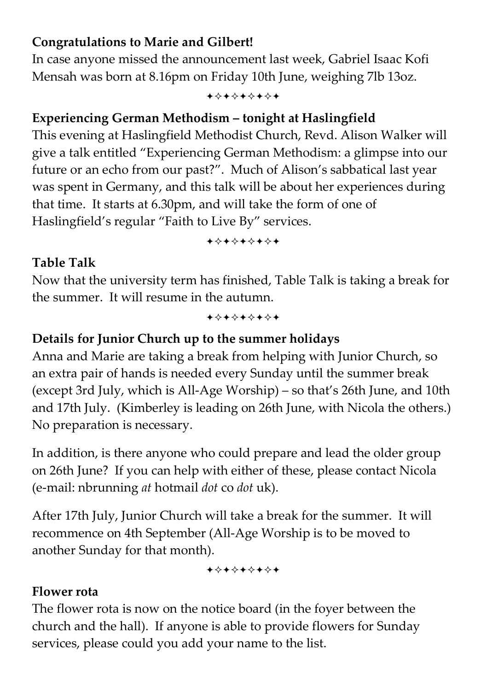#### **Congratulations to Marie and Gilbert!**

In case anyone missed the announcement last week, Gabriel Isaac Kofi Mensah was born at 8.16pm on Friday 10th June, weighing 7lb 13oz.

+\*\*\*\*\*\*\*

## **Experiencing German Methodism – tonight at Haslingfield**

This evening at Haslingfield Methodist Church, Revd. Alison Walker will give a talk entitled "Experiencing German Methodism: a glimpse into our future or an echo from our past?". Much of Alison's sabbatical last year was spent in Germany, and this talk will be about her experiences during that time. It starts at 6.30pm, and will take the form of one of Haslingfield's regular "Faith to Live By" services.

+\*\*\*\*\*\*\*

### **Table Talk**

Now that the university term has finished, Table Talk is taking a break for the summer. It will resume in the autumn.

+\*\*\*\*\*\*\*

#### **Details for Junior Church up to the summer holidays**

Anna and Marie are taking a break from helping with Junior Church, so an extra pair of hands is needed every Sunday until the summer break (except 3rd July, which is All-Age Worship) – so that's 26th June, and 10th and 17th July. (Kimberley is leading on 26th June, with Nicola the others.) No preparation is necessary.

In addition, is there anyone who could prepare and lead the older group on 26th June? If you can help with either of these, please contact Nicola (e-mail: nbrunning *at* hotmail *dot* co *dot* uk).

After 17th July, Junior Church will take a break for the summer. It will recommence on 4th September (All-Age Worship is to be moved to another Sunday for that month).

+\*+\*\*\*\*\*

#### **Flower rota**

The flower rota is now on the notice board (in the foyer between the church and the hall). If anyone is able to provide flowers for Sunday services, please could you add your name to the list.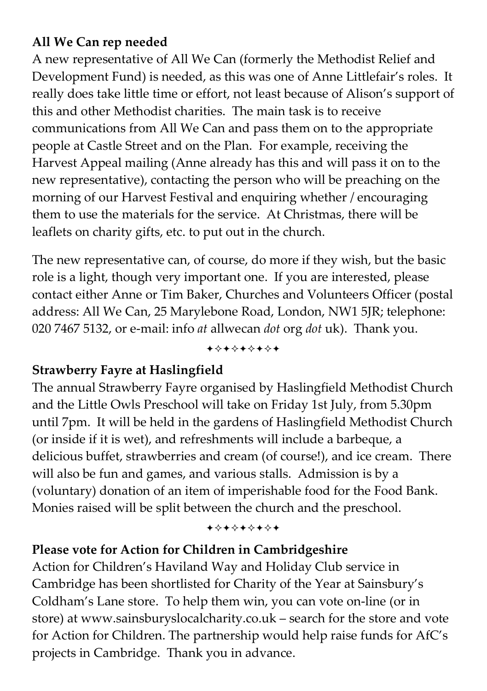### **All We Can rep needed**

A new representative of All We Can (formerly the Methodist Relief and Development Fund) is needed, as this was one of Anne Littlefair's roles. It really does take little time or effort, not least because of Alison's support of this and other Methodist charities. The main task is to receive communications from All We Can and pass them on to the appropriate people at Castle Street and on the Plan. For example, receiving the Harvest Appeal mailing (Anne already has this and will pass it on to the new representative), contacting the person who will be preaching on the morning of our Harvest Festival and enquiring whether / encouraging them to use the materials for the service. At Christmas, there will be leaflets on charity gifts, etc. to put out in the church.

The new representative can, of course, do more if they wish, but the basic role is a light, though very important one. If you are interested, please contact either Anne or Tim Baker, Churches and Volunteers Officer (postal address: All We Can, 25 Marylebone Road, London, NW1 5JR; telephone: 020 7467 5132, or e-mail: info *at* allwecan *dot* org *dot* uk). Thank you.

+\*\*\*\*\*\*\*

#### **Strawberry Fayre at Haslingfield**

The annual Strawberry Fayre organised by Haslingfield Methodist Church and the Little Owls Preschool will take on Friday 1st July, from 5.30pm until 7pm. It will be held in the gardens of Haslingfield Methodist Church (or inside if it is wet), and refreshments will include a barbeque, a delicious buffet, strawberries and cream (of course!), and ice cream. There will also be fun and games, and various stalls. Admission is by a (voluntary) donation of an item of imperishable food for the Food Bank. Monies raised will be split between the church and the preschool.

#### +\*\*\*\*\*\*\*

## **Please vote for Action for Children in Cambridgeshire**

Action for Children's Haviland Way and Holiday Club service in Cambridge has been shortlisted for Charity of the Year at Sainsbury's Coldham's Lane store. To help them win, you can vote on-line (or in store) at www.sainsburyslocalcharity.co.uk – search for the store and vote for Action for Children. The partnership would help raise funds for AfC's projects in Cambridge. Thank you in advance.